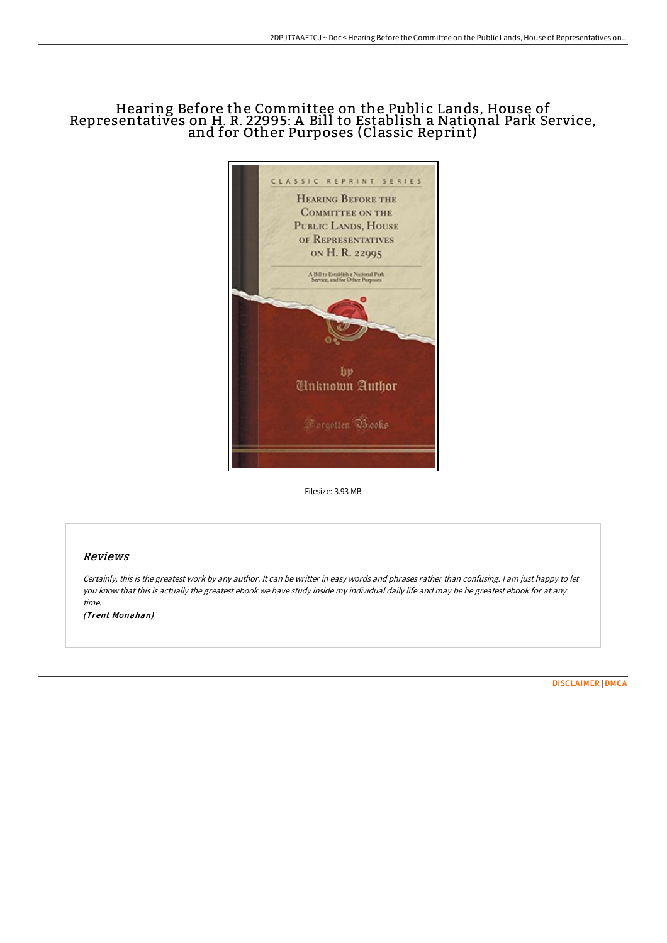## Hearing Before the Committee on the Public Lands, House of Representatives on H. R. 22995: A Bill to Establish a National Park Service, and for Other Purposes (Classic Reprint)



Filesize: 3.93 MB

## Reviews

Certainly, this is the greatest work by any author. It can be writter in easy words and phrases rather than confusing. <sup>I</sup> am just happy to let you know that this is actually the greatest ebook we have study inside my individual daily life and may be he greatest ebook for at any time.

(Trent Monahan)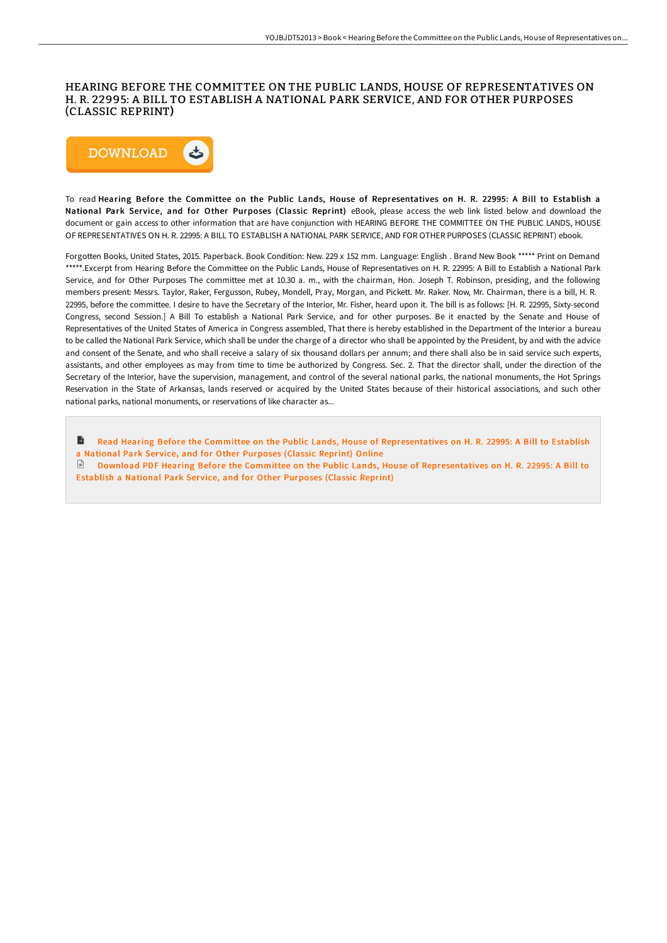## HEARING BEFORE THE COMMITTEE ON THE PUBLIC LANDS, HOUSE OF REPRESENTATIVES ON H. R. 22995: A BILL TO ESTABLISH A NATIONAL PARK SERVICE, AND FOR OTHER PURPOSES (CLASSIC REPRINT)



To read Hearing Before the Committee on the Public Lands, House of Representatives on H. R. 22995: A Bill to Establish a National Park Service, and for Other Purposes (Classic Reprint) eBook, please access the web link listed below and download the document or gain access to other information that are have conjunction with HEARING BEFORE THE COMMITTEE ON THE PUBLIC LANDS, HOUSE OF REPRESENTATIVES ON H. R. 22995: A BILL TO ESTABLISH A NATIONAL PARK SERVICE, AND FOR OTHER PURPOSES (CLASSIC REPRINT) ebook.

Forgotten Books, United States, 2015. Paperback. Book Condition: New. 229 x 152 mm. Language: English . Brand New Book \*\*\*\*\* Print on Demand \*\*\*\*\*.Excerpt from Hearing Before the Committee on the Public Lands, House of Representatives on H. R. 22995: A Bill to Establish a National Park Service, and for Other Purposes The committee met at 10.30 a. m., with the chairman, Hon. Joseph T. Robinson, presiding, and the following members present: Messrs. Taylor, Raker, Fergusson, Rubey, Mondell, Pray, Morgan, and Pickett. Mr. Raker. Now, Mr. Chairman, there is a bill, H. R. 22995, before the committee. I desire to have the Secretary of the Interior, Mr. Fisher, heard upon it. The bill is as follows: [H. R. 22995, Sixty-second Congress, second Session.] A Bill To establish a National Park Service, and for other purposes. Be it enacted by the Senate and House of Representatives of the United States of America in Congress assembled, That there is hereby established in the Department of the Interior a bureau to be called the National Park Service, which shall be under the charge of a director who shall be appointed by the President, by and with the advice and consent of the Senate, and who shall receive a salary of six thousand dollars per annum; and there shall also be in said service such experts, assistants, and other employees as may from time to time be authorized by Congress. Sec. 2. That the director shall, under the direction of the Secretary of the Interior, have the supervision, management, and control of the several national parks, the national monuments, the Hot Springs Reservation in the State of Arkansas, lands reserved or acquired by the United States because of their historical associations, and such other national parks, national monuments, or reservations of like character as...

B Read Hearing Before the Committee on the Public Lands, House of [Representatives](http://techno-pub.tech/hearing-before-the-committee-on-the-public-lands.html) on H. R. 22995: A Bill to Establish a National Park Service, and for Other Purposes (Classic Reprint) Online

Download PDF Hearing Before the Committee on the Public Lands, House of [Representatives](http://techno-pub.tech/hearing-before-the-committee-on-the-public-lands.html) on H. R. 22995: A Bill to Establish a National Park Service, and for Other Purposes (Classic Reprint)